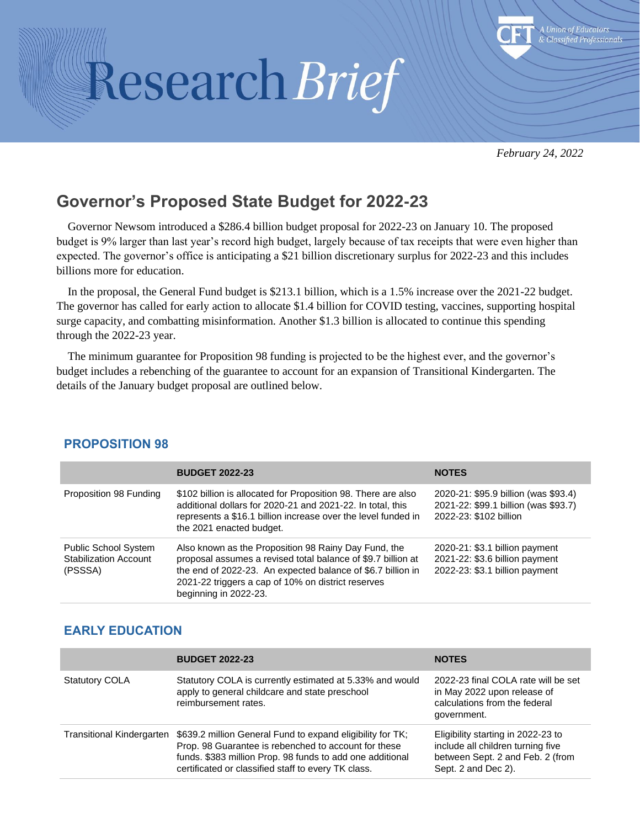# Research Brief



*February 24, 2022*

# **Governor's Proposed State Budget for 2022-23**

Governor Newsom introduced a \$286.4 billion budget proposal for 2022-23 on January 10. The proposed budget is 9% larger than last year's record high budget, largely because of tax receipts that were even higher than expected. The governor's office is anticipating a \$21 billion discretionary surplus for 2022-23 and this includes billions more for education.

In the proposal, the General Fund budget is \$213.1 billion, which is a 1.5% increase over the 2021-22 budget. The governor has called for early action to allocate \$1.4 billion for COVID testing, vaccines, supporting hospital surge capacity, and combatting misinformation. Another \$1.3 billion is allocated to continue this spending through the 2022-23 year.

The minimum guarantee for Proposition 98 funding is projected to be the highest ever, and the governor's budget includes a rebenching of the guarantee to account for an expansion of Transitional Kindergarten. The details of the January budget proposal are outlined below.

|                                                                        | <b>BUDGET 2022-23</b>                                                                                                                                                                                                                                              | <b>NOTES</b>                                                                                           |
|------------------------------------------------------------------------|--------------------------------------------------------------------------------------------------------------------------------------------------------------------------------------------------------------------------------------------------------------------|--------------------------------------------------------------------------------------------------------|
| Proposition 98 Funding                                                 | \$102 billion is allocated for Proposition 98. There are also<br>additional dollars for 2020-21 and 2021-22. In total, this<br>represents a \$16.1 billion increase over the level funded in<br>the 2021 enacted budget.                                           | 2020-21: \$95.9 billion (was \$93.4)<br>2021-22: \$99.1 billion (was \$93.7)<br>2022-23: \$102 billion |
| <b>Public School System</b><br><b>Stabilization Account</b><br>(PSSSA) | Also known as the Proposition 98 Rainy Day Fund, the<br>proposal assumes a revised total balance of \$9.7 billion at<br>the end of 2022-23. An expected balance of \$6.7 billion in<br>2021-22 triggers a cap of 10% on district reserves<br>beginning in 2022-23. | 2020-21: \$3.1 billion payment<br>2021-22: \$3.6 billion payment<br>2022-23: \$3.1 billion payment     |

#### **PROPOSITION 98**

#### **EARLY EDUCATION**

|                                  | <b>BUDGET 2022-23</b>                                                                                                                                                                                                                  | <b>NOTES</b>                                                                                                                       |
|----------------------------------|----------------------------------------------------------------------------------------------------------------------------------------------------------------------------------------------------------------------------------------|------------------------------------------------------------------------------------------------------------------------------------|
| <b>Statutory COLA</b>            | Statutory COLA is currently estimated at 5.33% and would<br>apply to general childcare and state preschool<br>reimbursement rates.                                                                                                     | 2022-23 final COLA rate will be set<br>in May 2022 upon release of<br>calculations from the federal<br>government.                 |
| <b>Transitional Kindergarten</b> | \$639.2 million General Fund to expand eligibility for TK;<br>Prop. 98 Guarantee is rebenched to account for these<br>funds. \$383 million Prop. 98 funds to add one additional<br>certificated or classified staff to every TK class. | Eligibility starting in 2022-23 to<br>include all children turning five<br>between Sept. 2 and Feb. 2 (from<br>Sept. 2 and Dec 2). |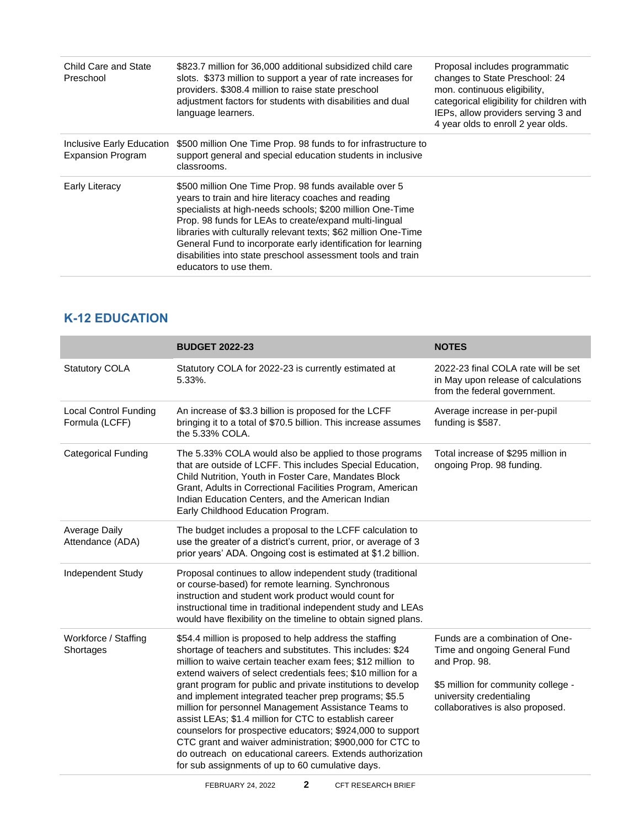| Child Care and State<br>Preschool                     | \$823.7 million for 36,000 additional subsidized child care<br>slots. \$373 million to support a year of rate increases for<br>providers. \$308.4 million to raise state preschool<br>adjustment factors for students with disabilities and dual<br>language learners.                                                                                                                                                                                              | Proposal includes programmatic<br>changes to State Preschool: 24<br>mon. continuous eligibility,<br>categorical eligibility for children with<br>IEPs, allow providers serving 3 and<br>4 year olds to enroll 2 year olds. |
|-------------------------------------------------------|---------------------------------------------------------------------------------------------------------------------------------------------------------------------------------------------------------------------------------------------------------------------------------------------------------------------------------------------------------------------------------------------------------------------------------------------------------------------|----------------------------------------------------------------------------------------------------------------------------------------------------------------------------------------------------------------------------|
| Inclusive Early Education<br><b>Expansion Program</b> | \$500 million One Time Prop. 98 funds to for infrastructure to<br>support general and special education students in inclusive<br>classrooms.                                                                                                                                                                                                                                                                                                                        |                                                                                                                                                                                                                            |
| Early Literacy                                        | \$500 million One Time Prop. 98 funds available over 5<br>years to train and hire literacy coaches and reading<br>specialists at high-needs schools; \$200 million One-Time<br>Prop. 98 funds for LEAs to create/expand multi-lingual<br>libraries with culturally relevant texts; \$62 million One-Time<br>General Fund to incorporate early identification for learning<br>disabilities into state preschool assessment tools and train<br>educators to use them. |                                                                                                                                                                                                                            |

# **K-12 EDUCATION**

|                                                | <b>BUDGET 2022-23</b>                                                                                                                                                                                                                                                                                                                                                                                                                                                                                                                                                                                                                                                                                                                       | <b>NOTES</b>                                                                                                                                                                             |
|------------------------------------------------|---------------------------------------------------------------------------------------------------------------------------------------------------------------------------------------------------------------------------------------------------------------------------------------------------------------------------------------------------------------------------------------------------------------------------------------------------------------------------------------------------------------------------------------------------------------------------------------------------------------------------------------------------------------------------------------------------------------------------------------------|------------------------------------------------------------------------------------------------------------------------------------------------------------------------------------------|
| <b>Statutory COLA</b>                          | Statutory COLA for 2022-23 is currently estimated at<br>5.33%.                                                                                                                                                                                                                                                                                                                                                                                                                                                                                                                                                                                                                                                                              | 2022-23 final COLA rate will be set<br>in May upon release of calculations<br>from the federal government.                                                                               |
| <b>Local Control Funding</b><br>Formula (LCFF) | An increase of \$3.3 billion is proposed for the LCFF<br>bringing it to a total of \$70.5 billion. This increase assumes<br>the 5.33% COLA.                                                                                                                                                                                                                                                                                                                                                                                                                                                                                                                                                                                                 | Average increase in per-pupil<br>funding is \$587.                                                                                                                                       |
| <b>Categorical Funding</b>                     | The 5.33% COLA would also be applied to those programs<br>that are outside of LCFF. This includes Special Education,<br>Child Nutrition, Youth in Foster Care, Mandates Block<br>Grant, Adults in Correctional Facilities Program, American<br>Indian Education Centers, and the American Indian<br>Early Childhood Education Program.                                                                                                                                                                                                                                                                                                                                                                                                      | Total increase of \$295 million in<br>ongoing Prop. 98 funding.                                                                                                                          |
| Average Daily<br>Attendance (ADA)              | The budget includes a proposal to the LCFF calculation to<br>use the greater of a district's current, prior, or average of 3<br>prior years' ADA. Ongoing cost is estimated at \$1.2 billion.                                                                                                                                                                                                                                                                                                                                                                                                                                                                                                                                               |                                                                                                                                                                                          |
| Independent Study                              | Proposal continues to allow independent study (traditional<br>or course-based) for remote learning. Synchronous<br>instruction and student work product would count for<br>instructional time in traditional independent study and LEAs<br>would have flexibility on the timeline to obtain signed plans.                                                                                                                                                                                                                                                                                                                                                                                                                                   |                                                                                                                                                                                          |
| Workforce / Staffing<br>Shortages              | \$54.4 million is proposed to help address the staffing<br>shortage of teachers and substitutes. This includes: \$24<br>million to waive certain teacher exam fees; \$12 million to<br>extend waivers of select credentials fees; \$10 million for a<br>grant program for public and private institutions to develop<br>and implement integrated teacher prep programs; \$5.5<br>million for personnel Management Assistance Teams to<br>assist LEAs; \$1.4 million for CTC to establish career<br>counselors for prospective educators; \$924,000 to support<br>CTC grant and waiver administration; \$900,000 for CTC to<br>do outreach on educational careers. Extends authorization<br>for sub assignments of up to 60 cumulative days. | Funds are a combination of One-<br>Time and ongoing General Fund<br>and Prop. 98.<br>\$5 million for community college -<br>university credentialing<br>collaboratives is also proposed. |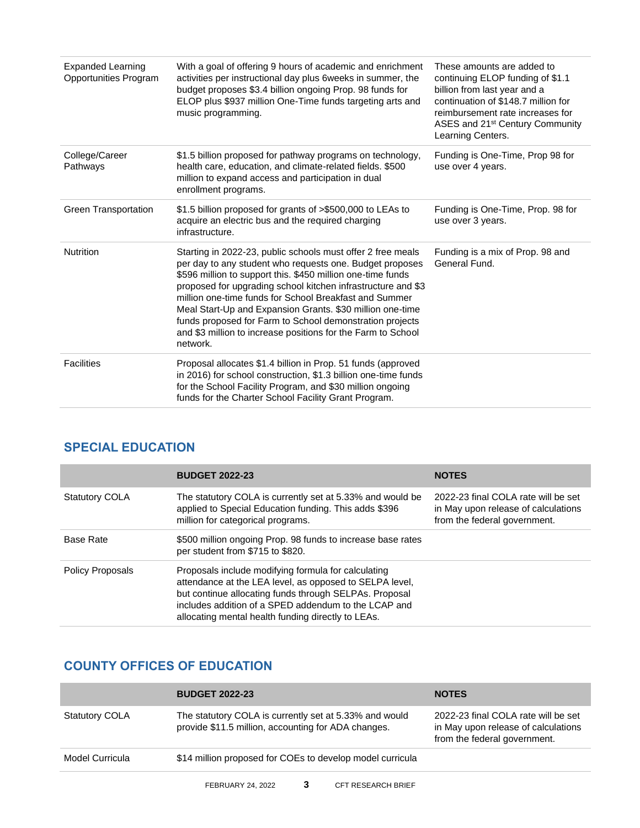| <b>Expanded Learning</b><br>Opportunities Program | With a goal of offering 9 hours of academic and enrichment<br>activities per instructional day plus 6weeks in summer, the<br>budget proposes \$3.4 billion ongoing Prop. 98 funds for<br>ELOP plus \$937 million One-Time funds targeting arts and<br>music programming.                                                                                                                                                                                                                                              | These amounts are added to<br>continuing ELOP funding of \$1.1<br>billion from last year and a<br>continuation of \$148.7 million for<br>reimbursement rate increases for<br>ASES and 21 <sup>st</sup> Century Community<br>Learning Centers. |
|---------------------------------------------------|-----------------------------------------------------------------------------------------------------------------------------------------------------------------------------------------------------------------------------------------------------------------------------------------------------------------------------------------------------------------------------------------------------------------------------------------------------------------------------------------------------------------------|-----------------------------------------------------------------------------------------------------------------------------------------------------------------------------------------------------------------------------------------------|
| College/Career<br>Pathways                        | \$1.5 billion proposed for pathway programs on technology,<br>health care, education, and climate-related fields. \$500<br>million to expand access and participation in dual<br>enrollment programs.                                                                                                                                                                                                                                                                                                                 | Funding is One-Time, Prop 98 for<br>use over 4 years.                                                                                                                                                                                         |
| <b>Green Transportation</b>                       | \$1.5 billion proposed for grants of >\$500,000 to LEAs to<br>acquire an electric bus and the required charging<br>infrastructure.                                                                                                                                                                                                                                                                                                                                                                                    | Funding is One-Time, Prop. 98 for<br>use over 3 years.                                                                                                                                                                                        |
| <b>Nutrition</b>                                  | Starting in 2022-23, public schools must offer 2 free meals<br>per day to any student who requests one. Budget proposes<br>\$596 million to support this. \$450 million one-time funds<br>proposed for upgrading school kitchen infrastructure and \$3<br>million one-time funds for School Breakfast and Summer<br>Meal Start-Up and Expansion Grants. \$30 million one-time<br>funds proposed for Farm to School demonstration projects<br>and \$3 million to increase positions for the Farm to School<br>network. | Funding is a mix of Prop. 98 and<br>General Fund.                                                                                                                                                                                             |
| <b>Facilities</b>                                 | Proposal allocates \$1.4 billion in Prop. 51 funds (approved<br>in 2016) for school construction, \$1.3 billion one-time funds<br>for the School Facility Program, and \$30 million ongoing<br>funds for the Charter School Facility Grant Program.                                                                                                                                                                                                                                                                   |                                                                                                                                                                                                                                               |

# **SPECIAL EDUCATION**

|                         | <b>BUDGET 2022-23</b>                                                                                                                                                                                                                                                                  | <b>NOTES</b>                                                                                               |
|-------------------------|----------------------------------------------------------------------------------------------------------------------------------------------------------------------------------------------------------------------------------------------------------------------------------------|------------------------------------------------------------------------------------------------------------|
| <b>Statutory COLA</b>   | The statutory COLA is currently set at 5.33% and would be<br>applied to Special Education funding. This adds \$396<br>million for categorical programs.                                                                                                                                | 2022-23 final COLA rate will be set<br>in May upon release of calculations<br>from the federal government. |
| <b>Base Rate</b>        | \$500 million ongoing Prop. 98 funds to increase base rates<br>per student from \$715 to \$820.                                                                                                                                                                                        |                                                                                                            |
| <b>Policy Proposals</b> | Proposals include modifying formula for calculating<br>attendance at the LEA level, as opposed to SELPA level,<br>but continue allocating funds through SELPAs. Proposal<br>includes addition of a SPED addendum to the LCAP and<br>allocating mental health funding directly to LEAs. |                                                                                                            |

# **COUNTY OFFICES OF EDUCATION**

|                       | <b>BUDGET 2022-23</b>                                                                                         | <b>NOTES</b>                                                                                               |
|-----------------------|---------------------------------------------------------------------------------------------------------------|------------------------------------------------------------------------------------------------------------|
| <b>Statutory COLA</b> | The statutory COLA is currently set at 5.33% and would<br>provide \$11.5 million, accounting for ADA changes. | 2022-23 final COLA rate will be set<br>in May upon release of calculations<br>from the federal government. |
| Model Curricula       | \$14 million proposed for COEs to develop model curricula                                                     |                                                                                                            |
|                       |                                                                                                               |                                                                                                            |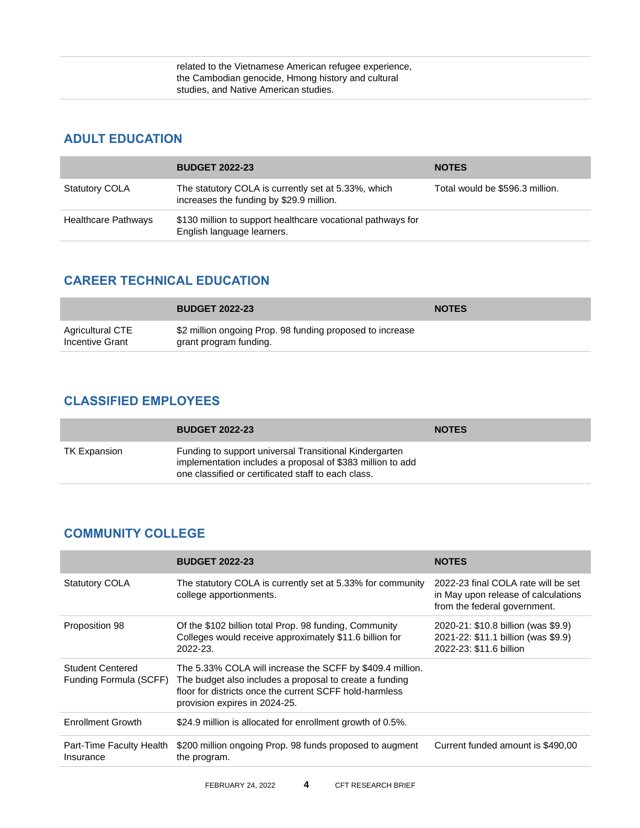#### **ADULT EDUCATION**

|                            | <b>BUDGET 2022-23</b>                                                                           | <b>NOTES</b>                    |
|----------------------------|-------------------------------------------------------------------------------------------------|---------------------------------|
| <b>Statutory COLA</b>      | The statutory COLA is currently set at 5.33%, which<br>increases the funding by \$29.9 million. | Total would be \$596.3 million. |
| <b>Healthcare Pathways</b> | \$130 million to support healthcare vocational pathways for<br>English language learners.       |                                 |

#### **CAREER TECHNICAL EDUCATION**

|                                     | <b>BUDGET 2022-23</b>                                                               | <b>NOTES</b> |
|-------------------------------------|-------------------------------------------------------------------------------------|--------------|
| Agricultural CTE<br>Incentive Grant | \$2 million ongoing Prop. 98 funding proposed to increase<br>grant program funding. |              |

#### **CLASSIFIED EMPLOYEES**

|              | <b>BUDGET 2022-23</b>                                                                                                                                                       | <b>NOTES</b> |
|--------------|-----------------------------------------------------------------------------------------------------------------------------------------------------------------------------|--------------|
| TK Expansion | Funding to support universal Transitional Kindergarten<br>implementation includes a proposal of \$383 million to add<br>one classified or certificated staff to each class. |              |

#### **COMMUNITY COLLEGE**

|                                                   | <b>BUDGET 2022-23</b>                                                                                                                                                                                            | <b>NOTES</b>                                                                                               |
|---------------------------------------------------|------------------------------------------------------------------------------------------------------------------------------------------------------------------------------------------------------------------|------------------------------------------------------------------------------------------------------------|
| <b>Statutory COLA</b>                             | The statutory COLA is currently set at 5.33% for community<br>college apportionments.                                                                                                                            | 2022-23 final COLA rate will be set<br>in May upon release of calculations<br>from the federal government. |
| Proposition 98                                    | Of the \$102 billion total Prop. 98 funding, Community<br>Colleges would receive approximately \$11.6 billion for<br>2022-23.                                                                                    | 2020-21: \$10.8 billion (was \$9.9)<br>2021-22: \$11.1 billion (was \$9.9)<br>2022-23: \$11.6 billion      |
| <b>Student Centered</b><br>Funding Formula (SCFF) | The 5.33% COLA will increase the SCFF by \$409.4 million.<br>The budget also includes a proposal to create a funding<br>floor for districts once the current SCFF hold-harmless<br>provision expires in 2024-25. |                                                                                                            |
| <b>Enrollment Growth</b>                          | \$24.9 million is allocated for enrollment growth of 0.5%.                                                                                                                                                       |                                                                                                            |
| Part-Time Faculty Health<br>Insurance             | \$200 million ongoing Prop. 98 funds proposed to augment<br>the program.                                                                                                                                         | Current funded amount is \$490,00                                                                          |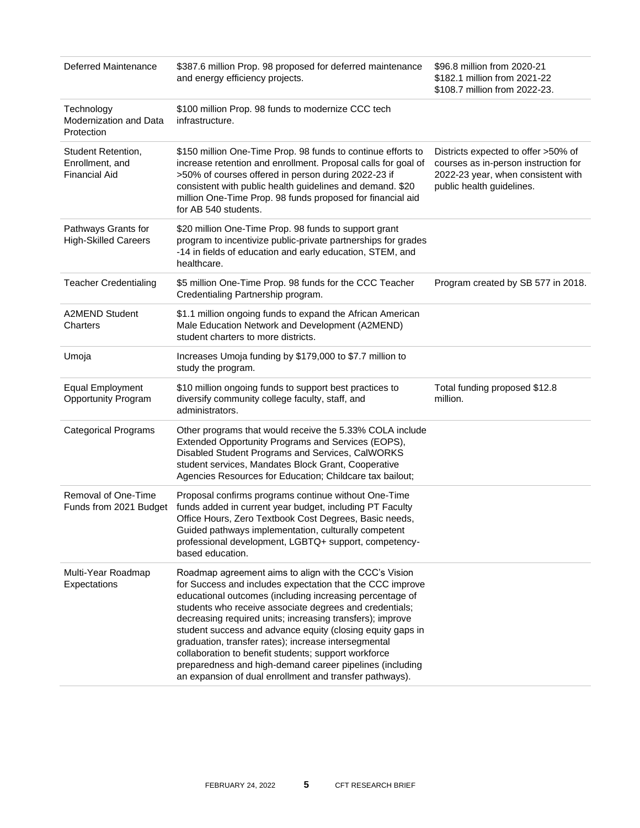| <b>Deferred Maintenance</b>                                   | \$387.6 million Prop. 98 proposed for deferred maintenance<br>and energy efficiency projects.                                                                                                                                                                                                                                                                                                                                                                                                                                                                                                               | \$96.8 million from 2020-21<br>\$182.1 million from 2021-22<br>\$108.7 million from 2022-23.                                                   |
|---------------------------------------------------------------|-------------------------------------------------------------------------------------------------------------------------------------------------------------------------------------------------------------------------------------------------------------------------------------------------------------------------------------------------------------------------------------------------------------------------------------------------------------------------------------------------------------------------------------------------------------------------------------------------------------|------------------------------------------------------------------------------------------------------------------------------------------------|
| Technology<br>Modernization and Data<br>Protection            | \$100 million Prop. 98 funds to modernize CCC tech<br>infrastructure.                                                                                                                                                                                                                                                                                                                                                                                                                                                                                                                                       |                                                                                                                                                |
| Student Retention,<br>Enrollment, and<br><b>Financial Aid</b> | \$150 million One-Time Prop. 98 funds to continue efforts to<br>increase retention and enrollment. Proposal calls for goal of<br>>50% of courses offered in person during 2022-23 if<br>consistent with public health guidelines and demand. \$20<br>million One-Time Prop. 98 funds proposed for financial aid<br>for AB 540 students.                                                                                                                                                                                                                                                                     | Districts expected to offer >50% of<br>courses as in-person instruction for<br>2022-23 year, when consistent with<br>public health guidelines. |
| Pathways Grants for<br><b>High-Skilled Careers</b>            | \$20 million One-Time Prop. 98 funds to support grant<br>program to incentivize public-private partnerships for grades<br>-14 in fields of education and early education, STEM, and<br>healthcare.                                                                                                                                                                                                                                                                                                                                                                                                          |                                                                                                                                                |
| <b>Teacher Credentialing</b>                                  | \$5 million One-Time Prop. 98 funds for the CCC Teacher<br>Credentialing Partnership program.                                                                                                                                                                                                                                                                                                                                                                                                                                                                                                               | Program created by SB 577 in 2018.                                                                                                             |
| <b>A2MEND Student</b><br>Charters                             | \$1.1 million ongoing funds to expand the African American<br>Male Education Network and Development (A2MEND)<br>student charters to more districts.                                                                                                                                                                                                                                                                                                                                                                                                                                                        |                                                                                                                                                |
| Umoja                                                         | Increases Umoja funding by \$179,000 to \$7.7 million to<br>study the program.                                                                                                                                                                                                                                                                                                                                                                                                                                                                                                                              |                                                                                                                                                |
| <b>Equal Employment</b><br><b>Opportunity Program</b>         | \$10 million ongoing funds to support best practices to<br>diversify community college faculty, staff, and<br>administrators.                                                                                                                                                                                                                                                                                                                                                                                                                                                                               | Total funding proposed \$12.8<br>million.                                                                                                      |
| <b>Categorical Programs</b>                                   | Other programs that would receive the 5.33% COLA include<br>Extended Opportunity Programs and Services (EOPS),<br>Disabled Student Programs and Services, CalWORKS<br>student services, Mandates Block Grant, Cooperative<br>Agencies Resources for Education; Childcare tax bailout;                                                                                                                                                                                                                                                                                                                       |                                                                                                                                                |
| Removal of One-Time<br>Funds from 2021 Budget                 | Proposal confirms programs continue without One-Time<br>funds added in current year budget, including PT Faculty<br>Office Hours, Zero Textbook Cost Degrees, Basic needs,<br>Guided pathways implementation, culturally competent<br>professional development, LGBTQ+ support, competency-<br>based education.                                                                                                                                                                                                                                                                                             |                                                                                                                                                |
| Multi-Year Roadmap<br>Expectations                            | Roadmap agreement aims to align with the CCC's Vision<br>for Success and includes expectation that the CCC improve<br>educational outcomes (including increasing percentage of<br>students who receive associate degrees and credentials;<br>decreasing required units; increasing transfers); improve<br>student success and advance equity (closing equity gaps in<br>graduation, transfer rates); increase intersegmental<br>collaboration to benefit students; support workforce<br>preparedness and high-demand career pipelines (including<br>an expansion of dual enrollment and transfer pathways). |                                                                                                                                                |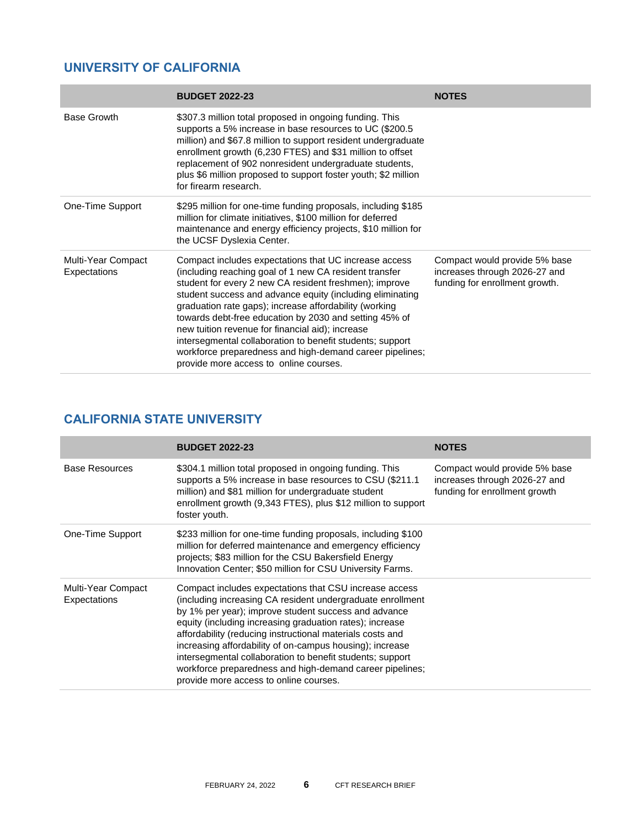# **UNIVERSITY OF CALIFORNIA**

|                                    | <b>BUDGET 2022-23</b>                                                                                                                                                                                                                                                                                                                                                                                                                                                                                                                                                             | <b>NOTES</b>                                                                                     |
|------------------------------------|-----------------------------------------------------------------------------------------------------------------------------------------------------------------------------------------------------------------------------------------------------------------------------------------------------------------------------------------------------------------------------------------------------------------------------------------------------------------------------------------------------------------------------------------------------------------------------------|--------------------------------------------------------------------------------------------------|
| <b>Base Growth</b>                 | \$307.3 million total proposed in ongoing funding. This<br>supports a 5% increase in base resources to UC (\$200.5)<br>million) and \$67.8 million to support resident undergraduate<br>enrollment growth (6,230 FTES) and \$31 million to offset<br>replacement of 902 nonresident undergraduate students,<br>plus \$6 million proposed to support foster youth; \$2 million<br>for firearm research.                                                                                                                                                                            |                                                                                                  |
| One-Time Support                   | \$295 million for one-time funding proposals, including \$185<br>million for climate initiatives, \$100 million for deferred<br>maintenance and energy efficiency projects, \$10 million for<br>the UCSF Dyslexia Center.                                                                                                                                                                                                                                                                                                                                                         |                                                                                                  |
| Multi-Year Compact<br>Expectations | Compact includes expectations that UC increase access<br>(including reaching goal of 1 new CA resident transfer<br>student for every 2 new CA resident freshmen); improve<br>student success and advance equity (including eliminating<br>graduation rate gaps); increase affordability (working<br>towards debt-free education by 2030 and setting 45% of<br>new tuition revenue for financial aid); increase<br>intersegmental collaboration to benefit students; support<br>workforce preparedness and high-demand career pipelines;<br>provide more access to online courses. | Compact would provide 5% base<br>increases through 2026-27 and<br>funding for enrollment growth. |

# **CALIFORNIA STATE UNIVERSITY**

|                                    | <b>BUDGET 2022-23</b>                                                                                                                                                                                                                                                                                                                                                                                                                                                                                                                | <b>NOTES</b>                                                                                    |
|------------------------------------|--------------------------------------------------------------------------------------------------------------------------------------------------------------------------------------------------------------------------------------------------------------------------------------------------------------------------------------------------------------------------------------------------------------------------------------------------------------------------------------------------------------------------------------|-------------------------------------------------------------------------------------------------|
| <b>Base Resources</b>              | \$304.1 million total proposed in ongoing funding. This<br>supports a 5% increase in base resources to CSU (\$211.1)<br>million) and \$81 million for undergraduate student<br>enrollment growth (9,343 FTES), plus \$12 million to support<br>foster youth.                                                                                                                                                                                                                                                                         | Compact would provide 5% base<br>increases through 2026-27 and<br>funding for enrollment growth |
| One-Time Support                   | \$233 million for one-time funding proposals, including \$100<br>million for deferred maintenance and emergency efficiency<br>projects; \$83 million for the CSU Bakersfield Energy<br>Innovation Center; \$50 million for CSU University Farms.                                                                                                                                                                                                                                                                                     |                                                                                                 |
| Multi-Year Compact<br>Expectations | Compact includes expectations that CSU increase access<br>(including increasing CA resident undergraduate enrollment<br>by 1% per year); improve student success and advance<br>equity (including increasing graduation rates); increase<br>affordability (reducing instructional materials costs and<br>increasing affordability of on-campus housing); increase<br>intersegmental collaboration to benefit students; support<br>workforce preparedness and high-demand career pipelines;<br>provide more access to online courses. |                                                                                                 |